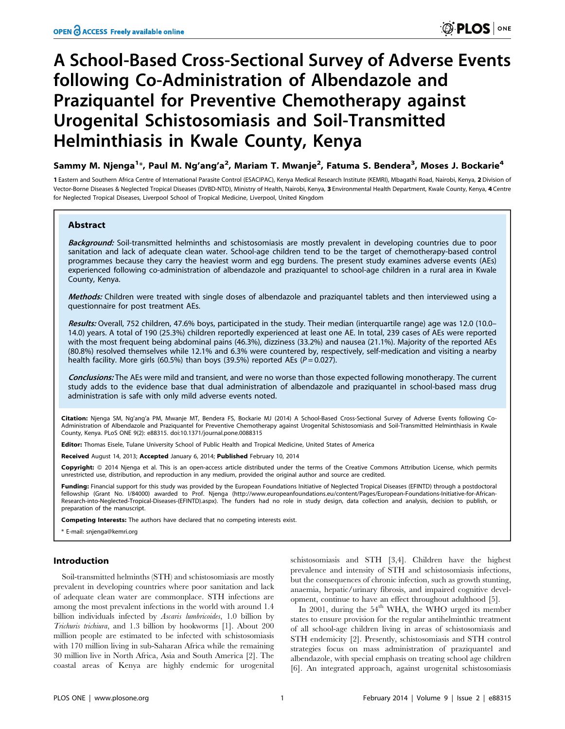# A School-Based Cross-Sectional Survey of Adverse Events following Co-Administration of Albendazole and Praziquantel for Preventive Chemotherapy against Urogenital Schistosomiasis and Soil-Transmitted Helminthiasis in Kwale County, Kenya

Sammy M. Njenga<sup>1</sup>\*, Paul M. Ng'ang'a<sup>2</sup>, Mariam T. Mwanje<sup>2</sup>, Fatuma S. Bendera<sup>3</sup>, Moses J. Bockarie<sup>4</sup>

1 Eastern and Southern Africa Centre of International Parasite Control (ESACIPAC), Kenya Medical Research Institute (KEMRI), Mbagathi Road, Nairobi, Kenya, 2 Division of Vector-Borne Diseases & Neglected Tropical Diseases (DVBD-NTD), Ministry of Health, Nairobi, Kenya, 3 Environmental Health Department, Kwale County, Kenya, 4 Centre for Neglected Tropical Diseases, Liverpool School of Tropical Medicine, Liverpool, United Kingdom

## Abstract

Background: Soil-transmitted helminths and schistosomiasis are mostly prevalent in developing countries due to poor sanitation and lack of adequate clean water. School-age children tend to be the target of chemotherapy-based control programmes because they carry the heaviest worm and egg burdens. The present study examines adverse events (AEs) experienced following co-administration of albendazole and praziquantel to school-age children in a rural area in Kwale County, Kenya.

Methods: Children were treated with single doses of albendazole and praziquantel tablets and then interviewed using a questionnaire for post treatment AEs.

Results: Overall, 752 children, 47.6% boys, participated in the study. Their median (interquartile range) age was 12.0 (10.0– 14.0) years. A total of 190 (25.3%) children reportedly experienced at least one AE. In total, 239 cases of AEs were reported with the most frequent being abdominal pains (46.3%), dizziness (33.2%) and nausea (21.1%). Majority of the reported AEs (80.8%) resolved themselves while 12.1% and 6.3% were countered by, respectively, self-medication and visiting a nearby health facility. More girls (60.5%) than boys (39.5%) reported AEs ( $P = 0.027$ ).

Conclusions: The AEs were mild and transient, and were no worse than those expected following monotherapy. The current study adds to the evidence base that dual administration of albendazole and praziquantel in school-based mass drug administration is safe with only mild adverse events noted.

Citation: Njenga SM, Ng'ang'a PM, Mwanje MT, Bendera FS, Bockarie MJ (2014) A School-Based Cross-Sectional Survey of Adverse Events following Co-Administration of Albendazole and Praziquantel for Preventive Chemotherapy against Urogenital Schistosomiasis and Soil-Transmitted Helminthiasis in Kwale County, Kenya. PLoS ONE 9(2): e88315. doi:10.1371/journal.pone.0088315

Editor: Thomas Eisele, Tulane University School of Public Health and Tropical Medicine, United States of America

Received August 14, 2013; Accepted January 6, 2014; Published February 10, 2014

Copyright: © 2014 Njenga et al. This is an open-access article distributed under the terms of the [Creative Commons Attribution License](http://creativecommons.org/licenses/by/4.0/), which permits unrestricted use, distribution, and reproduction in any medium, provided the original author and source are credited.

Funding: Financial support for this study was provided by the European Foundations Initiative of Neglected Tropical Diseases (EFINTD) through a postdoctoral fellowship (Grant No. I/84000) awarded to Prof. Njenga (http://www.europeanfoundations.eu/content/Pages/European-Foundations-Initiative-for-African-<br>Research-into-Neglected-Tropical-Diseases-(EFINTD).aspx). The funders had preparation of the manuscript.

Competing Interests: The authors have declared that no competing interests exist.

\* E-mail: snjenga@kemri.org

## Introduction

Soil-transmitted helminths (STH) and schistosomiasis are mostly prevalent in developing countries where poor sanitation and lack of adequate clean water are commonplace. STH infections are among the most prevalent infections in the world with around 1.4 billion individuals infected by Ascaris lumbricoides, 1.0 billion by Trichuris trichiura, and 1.3 billion by hookworms [1]. About 200 million people are estimated to be infected with schistosomiasis with 170 million living in sub-Saharan Africa while the remaining 30 million live in North Africa, Asia and South America [2]. The coastal areas of Kenya are highly endemic for urogenital

schistosomiasis and STH [3,4]. Children have the highest prevalence and intensity of STH and schistosomiasis infections, but the consequences of chronic infection, such as growth stunting, anaemia, hepatic/urinary fibrosis, and impaired cognitive development, continue to have an effect throughout adulthood [5].

In 2001, during the  $54<sup>th</sup>$  WHA, the WHO urged its member states to ensure provision for the regular antihelminthic treatment of all school-age children living in areas of schistosomiasis and STH endemicity [2]. Presently, schistosomiasis and STH control strategies focus on mass administration of praziquantel and albendazole, with special emphasis on treating school age children [6]. An integrated approach, against urogenital schistosomiasis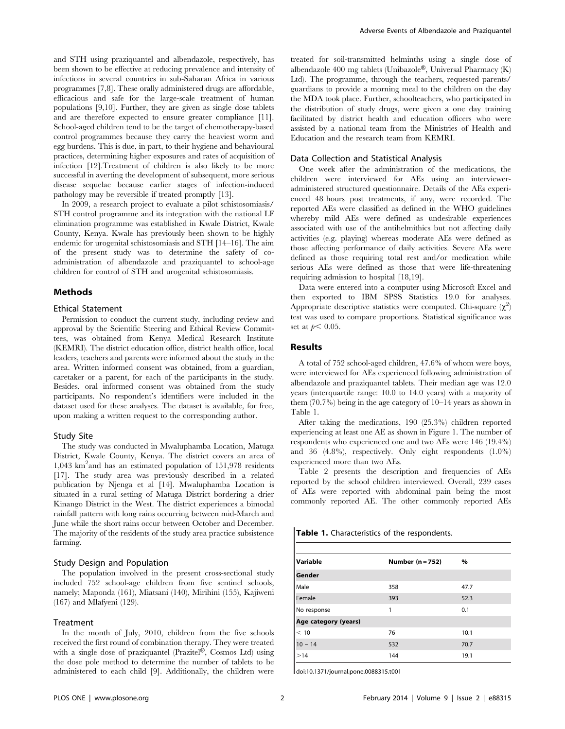and STH using praziquantel and albendazole, respectively, has been shown to be effective at reducing prevalence and intensity of infections in several countries in sub-Saharan Africa in various programmes [7,8]. These orally administered drugs are affordable, efficacious and safe for the large-scale treatment of human populations [9,10]. Further, they are given as single dose tablets and are therefore expected to ensure greater compliance [11]. School-aged children tend to be the target of chemotherapy-based control programmes because they carry the heaviest worm and egg burdens. This is due, in part, to their hygiene and behavioural practices, determining higher exposures and rates of acquisition of infection [12].Treatment of children is also likely to be more successful in averting the development of subsequent, more serious disease sequelae because earlier stages of infection-induced pathology may be reversible if treated promptly [13].

In 2009, a research project to evaluate a pilot schistosomiasis/ STH control programme and its integration with the national LF elimination programme was established in Kwale District, Kwale County, Kenya. Kwale has previously been shown to be highly endemic for urogenital schistosomiasis and STH [14–16]. The aim of the present study was to determine the safety of coadministration of albendazole and praziquantel to school-age children for control of STH and urogenital schistosomiasis.

## Methods

#### Ethical Statement

Permission to conduct the current study, including review and approval by the Scientific Steering and Ethical Review Committees, was obtained from Kenya Medical Research Institute (KEMRI). The district education office, district health office, local leaders, teachers and parents were informed about the study in the area. Written informed consent was obtained, from a guardian, caretaker or a parent, for each of the participants in the study. Besides, oral informed consent was obtained from the study participants. No respondent's identifiers were included in the dataset used for these analyses. The dataset is available, for free, upon making a written request to the corresponding author.

## Study Site

The study was conducted in Mwaluphamba Location, Matuga District, Kwale County, Kenya. The district covers an area of 1,043 km2 and has an estimated population of 151,978 residents [17]. The study area was previously described in a related publication by Njenga et al [14]. Mwaluphamba Location is situated in a rural setting of Matuga District bordering a drier Kinango District in the West. The district experiences a bimodal rainfall pattern with long rains occurring between mid-March and June while the short rains occur between October and December. The majority of the residents of the study area practice subsistence farming.

## Study Design and Population

The population involved in the present cross-sectional study included 752 school-age children from five sentinel schools, namely; Maponda (161), Miatsani (140), Mirihini (155), Kajiweni (167) and Mlafyeni (129).

## Treatment

In the month of July, 2010, children from the five schools received the first round of combination therapy. They were treated with a single dose of praziquantel (Prazitel®, Cosmos Ltd) using the dose pole method to determine the number of tablets to be administered to each child [9]. Additionally, the children were treated for soil-transmitted helminths using a single dose of albendazole 400 mg tablets (Unibazole®, Universal Pharmacy  $(K)$ ) Ltd). The programme, through the teachers, requested parents/ guardians to provide a morning meal to the children on the day the MDA took place. Further, schoolteachers, who participated in the distribution of study drugs, were given a one day training facilitated by district health and education officers who were assisted by a national team from the Ministries of Health and Education and the research team from KEMRI.

#### Data Collection and Statistical Analysis

One week after the administration of the medications, the children were interviewed for AEs using an intervieweradministered structured questionnaire. Details of the AEs experienced 48 hours post treatments, if any, were recorded. The reported AEs were classified as defined in the WHO guidelines whereby mild AEs were defined as undesirable experiences associated with use of the antihelmithics but not affecting daily activities (e.g. playing) whereas moderate AEs were defined as those affecting performance of daily activities. Severe AEs were defined as those requiring total rest and/or medication while serious AEs were defined as those that were life-threatening requiring admission to hospital [18,19].

Data were entered into a computer using Microsoft Excel and then exported to IBM SPSS Statistics 19.0 for analyses. Appropriate descriptive statistics were computed. Chi-square  $(\chi^2)$ test was used to compare proportions. Statistical significance was set at  $p < 0.05$ .

## Results

A total of 752 school-aged children, 47.6% of whom were boys, were interviewed for AEs experienced following administration of albendazole and praziquantel tablets. Their median age was 12.0 years (interquartile range: 10.0 to 14.0 years) with a majority of them (70.7%) being in the age category of 10–14 years as shown in Table 1.

After taking the medications, 190 (25.3%) children reported experiencing at least one AE as shown in Figure 1. The number of respondents who experienced one and two AEs were 146 (19.4%) and 36 (4.8%), respectively. Only eight respondents (1.0%) experienced more than two AEs.

Table 2 presents the description and frequencies of AEs reported by the school children interviewed. Overall, 239 cases of AEs were reported with abdominal pain being the most commonly reported AE. The other commonly reported AEs

Table 1. Characteristics of the respondents.

| Variable             | Number $(n = 752)$ | $\%$ |  |
|----------------------|--------------------|------|--|
| Gender               |                    |      |  |
| Male                 | 358                | 47.7 |  |
| Female               | 393                | 52.3 |  |
| No response          | 1                  | 0.1  |  |
| Age category (years) |                    |      |  |
| < 10                 | 76                 | 10.1 |  |
| $10 - 14$            | 532                | 70.7 |  |
| >14                  | 144                | 19.1 |  |

doi:10.1371/journal.pone.0088315.t001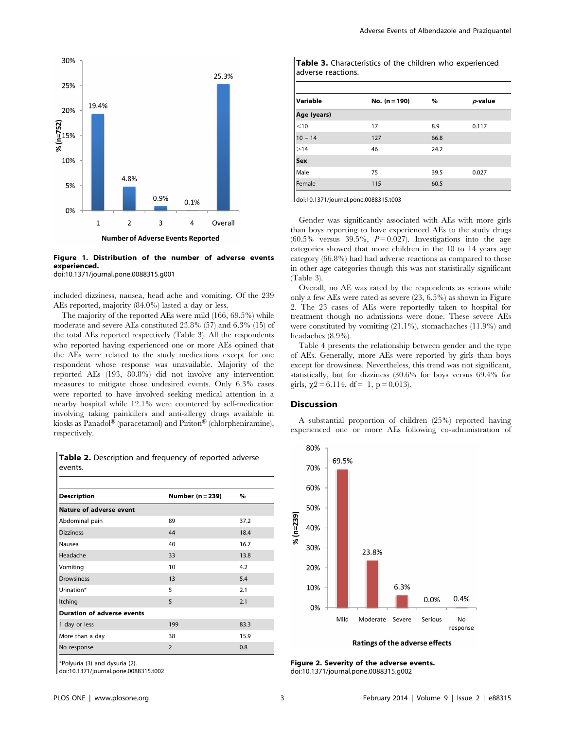

Figure 1. Distribution of the number of adverse events experienced.

doi:10.1371/journal.pone.0088315.g001

included dizziness, nausea, head ache and vomiting. Of the 239 AEs reported, majority (84.0%) lasted a day or less.

The majority of the reported AEs were mild (166, 69.5%) while moderate and severe AEs constituted 23.8% (57) and 6.3% (15) of the total AEs reported respectively (Table 3). All the respondents who reported having experienced one or more AEs opined that the AEs were related to the study medications except for one respondent whose response was unavailable. Majority of the reported AEs (193, 80.8%) did not involve any intervention measures to mitigate those undesired events. Only 6.3% cases were reported to have involved seeking medical attention in a nearby hospital while 12.1% were countered by self-medication involving taking painkillers and anti-allergy drugs available in kiosks as Panadol® (paracetamol) and Piriton® (chlorpheniramine), respectively.

Table 2. Description and frequency of reported adverse events.

| <b>Description</b>                | Number $(n=239)$ | %    |
|-----------------------------------|------------------|------|
| <b>Nature of adverse event</b>    |                  |      |
| Abdominal pain                    | 89               | 37.2 |
| <b>Dizziness</b>                  | 44               | 18.4 |
| Nausea                            | 40               | 16.7 |
| Headache                          | 33               | 13.8 |
| Vomiting                          | 10               | 4.2  |
| <b>Drowsiness</b>                 | 13               | 5.4  |
| Urination*                        | 5                | 2.1  |
| Itching                           | 5                | 2.1  |
| <b>Duration of adverse events</b> |                  |      |
| 1 day or less                     | 199              | 83.3 |
| More than a day                   | 38               | 15.9 |
| No response                       | $\overline{2}$   | 0.8  |

\*Polyuria (3) and dysuria (2).

doi:10.1371/journal.pone.0088315.t002

Table 3. Characteristics of the children who experienced adverse reactions.

| Variable    | No. $(n = 190)$ | $\%$ | $p$ -value |
|-------------|-----------------|------|------------|
| Age (years) |                 |      |            |
| $<$ 10      | 17              | 8.9  | 0.117      |
| $10 - 14$   | 127             | 66.8 |            |
| >14         | 46              | 24.2 |            |
| Sex         |                 |      |            |
| Male        | 75              | 39.5 | 0.027      |
| Female      | 115             | 60.5 |            |

doi:10.1371/journal.pone.0088315.t003

Gender was significantly associated with AEs with more girls than boys reporting to have experienced AEs to the study drugs  $(60.5\%$  versus 39.5%,  $P = 0.027$ ). Investigations into the age categories showed that more children in the 10 to 14 years age category (66.8%) had had adverse reactions as compared to those in other age categories though this was not statistically significant (Table 3).

Overall, no AE was rated by the respondents as serious while only a few AEs were rated as severe (23, 6.5%) as shown in Figure 2. The 23 cases of AEs were reportedly taken to hospital for treatment though no admissions were done. These severe AEs were constituted by vomiting (21.1%), stomachaches (11.9%) and headaches (8.9%).

Table 4 presents the relationship between gender and the type of AEs. Generally, more AEs were reported by girls than boys except for drowsiness. Nevertheless, this trend was not significant, statistically, but for dizziness (30.6% for boys versus 69.4% for girls,  $\chi$ 2 = 6.114, df = 1, p = 0.013).

#### Discussion

A substantial proportion of children (25%) reported having experienced one or more AEs following co-administration of



Ratings of the adverse effects

Figure 2. Severity of the adverse events. doi:10.1371/journal.pone.0088315.g002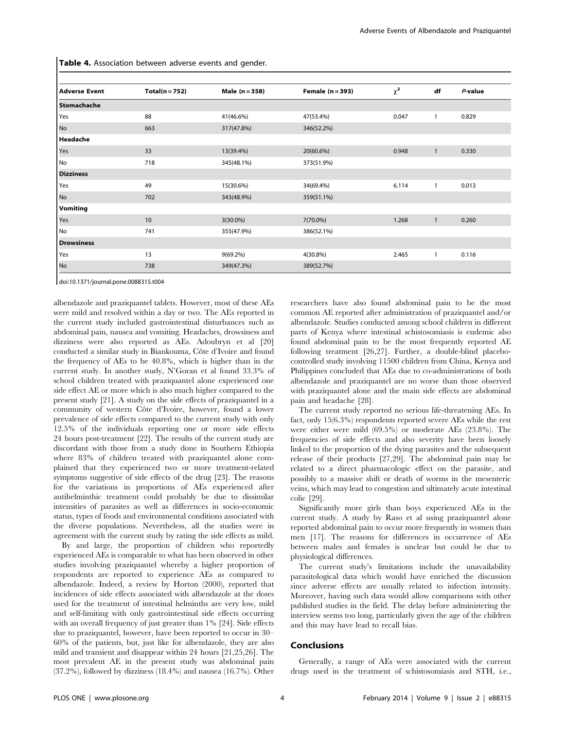Table 4. Association between adverse events and gender.

| <b>Adverse Event</b> | $Total(n = 752)$ | Male (n = 358) | Female $(n = 393)$ | $\chi^2$ | df           | $P$ -value |
|----------------------|------------------|----------------|--------------------|----------|--------------|------------|
| Stomachache          |                  |                |                    |          |              |            |
| Yes                  | 88               | 41(46.6%)      | 47(53.4%)          | 0.047    | 1            | 0.829      |
| No                   | 663              | 317(47.8%)     | 346(52.2%)         |          |              |            |
| Headache             |                  |                |                    |          |              |            |
| Yes                  | 33               | 13(39.4%)      | 20(60.6%)          | 0.948    | $\mathbf{1}$ | 0.330      |
| No                   | 718              | 345(48.1%)     | 373(51.9%)         |          |              |            |
| <b>Dizziness</b>     |                  |                |                    |          |              |            |
| Yes                  | 49               | 15(30.6%)      | 34(69.4%)          | 6.114    | 1            | 0.013      |
| No                   | 702              | 343(48.9%)     | 359(51.1%)         |          |              |            |
| <b>Vomiting</b>      |                  |                |                    |          |              |            |
| Yes                  | 10               | $3(30.0\%)$    | 7(70.0%)           | 1.268    | $\mathbf{1}$ | 0.260      |
| No                   | 741              | 355(47.9%)     | 386(52.1%)         |          |              |            |
| <b>Drowsiness</b>    |                  |                |                    |          |              |            |
| Yes                  | 13               | $9(69.2\%)$    | 4(30.8%)           | 2.465    | 1            | 0.116      |
| No                   | 738              | 349(47.3%)     | 389(52.7%)         |          |              |            |

doi:10.1371/journal.pone.0088315.t004

albendazole and praziquantel tablets. However, most of these AEs were mild and resolved within a day or two. The AEs reported in the current study included gastrointestinal disturbances such as abdominal pain, nausea and vomiting. Headaches, drowsiness and dizziness were also reported as AEs. Adoubryn et al [20] conducted a similar study in Biankouma, Côte d'Ivoire and found the frequency of AEs to be 40.8%, which is higher than in the current study. In another study, N'Goran et al found 33.3% of school children treated with praziquantel alone experienced one side effect AE or more which is also much higher compared to the present study [21]. A study on the side effects of praziquantel in a community of western Côte d'Ivoire, however, found a lower prevalence of side effects compared to the current study with only 12.5% of the individuals reporting one or more side effects 24 hours post-treatment [22]. The results of the current study are discordant with those from a study done in Southern Ethiopia where 83% of children treated with praziquantel alone complained that they experienced two or more treatment-related symptoms suggestive of side effects of the drug [23]. The reasons for the variations in proportions of AEs experienced after antihelminthic treatment could probably be due to dissimilar intensities of parasites as well as differences in socio-economic status, types of foods and environmental conditions associated with the diverse populations. Nevertheless, all the studies were in agreement with the current study by rating the side effects as mild.

By and large, the proportion of children who reportedly experienced AEs is comparable to what has been observed in other studies involving praziquantel whereby a higher proportion of respondents are reported to experience AEs as compared to albendazole. Indeed, a review by Horton (2000), reported that incidences of side effects associated with albendazole at the doses used for the treatment of intestinal helminths are very low, mild and self-limiting with only gastrointestinal side effects occurring with an overall frequency of just greater than 1% [24]. Side effects due to praziquantel, however, have been reported to occur in 30– 60% of the patients, but, just like for albendazole, they are also mild and transient and disappear within 24 hours [21,25,26]. The most prevalent AE in the present study was abdominal pain (37.2%), followed by dizziness (18.4%) and nausea (16.7%). Other

researchers have also found abdominal pain to be the most common AE reported after administration of praziquantel and/or albendazole. Studies conducted among school children in different parts of Kenya where intestinal schistosomiasis is endemic also found abdominal pain to be the most frequently reported AE following treatment [26,27]. Further, a double-blind placebocontrolled study involving 11500 children from China, Kenya and Philippines concluded that AEs due to co-administrations of both albendazole and praziquantel are no worse than those observed with praziquantel alone and the main side effects are abdominal pain and headache [28].

The current study reported no serious life-threatening AEs. In fact, only 15(6.3%) respondents reported severe AEs while the rest were either were mild (69.5%) or moderate AEs (23.8%). The frequencies of side effects and also severity have been loosely linked to the proportion of the dying parasites and the subsequent release of their products [27,29]. The abdominal pain may be related to a direct pharmacologic effect on the parasite, and possibly to a massive shift or death of worms in the mesenteric veins, which may lead to congestion and ultimately acute intestinal colic [29].

Significantly more girls than boys experienced AEs in the current study. A study by Raso et al using praziquantel alone reported abdominal pain to occur more frequently in women than men [17]. The reasons for differences in occurrence of AEs between males and females is unclear but could be due to physiological differences.

The current study's limitations include the unavailability parasitological data which would have enriched the discussion since adverse effects are usually related to infection intensity. Moreover, having such data would allow comparisons with other published studies in the field. The delay before administering the interview seems too long, particularly given the age of the children and this may have lead to recall bias.

## Conclusions

Generally, a range of AEs were associated with the current drugs used in the treatment of schistosomiasis and STH, i.e.,